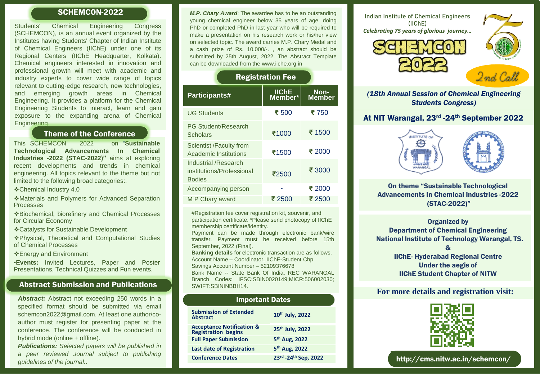Students' Chemical Engineering Congress (SCHEMCON), is an annual event organized by the Institutes having Students' Chapter of Indian Institute of Chemical Engineers (IIChE) under one of its Regional Centers (IIChE Headquarter, Kolkata). Chemical engineers interested in innovation and professional growth will meet with academic and industry experts to cover wide range of topics relevant to cutting-edge research, new technologies, and emerging growth areas in Chemical Engineering. It provides a platform for the Chemical Engineering Students to interact, learn and gain exposure to the expanding arena of Chemical Engineering.

# Theme of the Conference

This SCHEMCON 2022 on "**Sustainable Technological Advancements In Chemical Industries -2022 (STAC-2022)"** aims at exploring recent developments and trends in chemical engineering. All topics relevant to the theme but not limited to the following broad categories:.

Chemical Industry 4.0

Materials and Polymers for Advanced Separation Processes

Biochemical, biorefinery and Chemical Processes for Circular Economy

Catalysts for Sustainable Development

Physical, Theoretical and Computational Studies of Chemical Processes

Energy and Environment

•**Events:** Invited Lectures, Paper and Poster Presentations, Technical Quizzes and Fun events.

# Abstract Submission and Publications

*Abstract:* Abstract not exceeding 250 words in a specified format should be submitted via email schemcon2022@gmail.com. At least one author/coauthor must register for presenting paper at the conference. The conference will be conducted in hybrid mode (online + offline).

*Publications: Selected papers will be published in a peer reviewed Journal subject to publishing guidelines of the journal.*.

**SCHEMCON-2022** M.P. Chary Award: The awardee has to be an outstanding Indian Institute of Chemical Engineers young chemical engineer below 35 years of age, doing PhD or completed PhD in last year who will be required to make a presentation on his research work or his/her view on selected topic. The award carries M.P. Chary Medal and a cash prize of Rs. 10,000/-. , an abstract should be submitted by 25th August, 2022. The Abstract Template can be downloaded from the www.iiche.org.in

# **Participants# Member\* Non-Member** UG Students **₹** 500 **₹** 750 Registration Fee

| <b>PG Student/Research</b><br><b>Scholars</b>                       | ₹1000  | ₹ 1500 |
|---------------------------------------------------------------------|--------|--------|
| Scientist /Faculty from<br><b>Academic Institutions</b>             | ₹1500  | ₹ 2000 |
| Industrial / Research<br>institutions/Professional<br><b>Bodies</b> | ₹2500  | ₹ 3000 |
| Accompanying person                                                 |        | ₹ 2000 |
| M P Chary award                                                     | ₹ 2500 | ₹ 2500 |

#Registration fee cover registration kit, souvenir, and participation certificate. \*Please send photocopy of IIChE membership certificate/identity.

Payment can be made through electronic bank/wire transfer. Payment must be received before 15th September, 2022 (Final).

**Banking details** for electronic transaction are as follows. Account Name – Coordinator, IIChE-Student Chp Savings Account Number – 52109376678

Bank Name -- State Bank Of India, REC WARANGAL Branch Codes: IFSC:SBIN0020149;MICR:506002030; SWIFT:SBININBBH14.

| <b>Important Dates</b>                                             |                             |  |  |
|--------------------------------------------------------------------|-----------------------------|--|--|
| <b>Submission of Extended</b><br><b>Abstract</b>                   | 10th July, 2022             |  |  |
| <b>Acceptance Notification &amp;</b><br><b>Registration begins</b> | 25 <sup>th</sup> July, 2022 |  |  |
| <b>Full Paper Submission</b>                                       | 5 <sup>th</sup> Aug, 2022   |  |  |
| <b>Last date of Registration</b>                                   | 5 <sup>th</sup> Aug, 2022   |  |  |
| <b>Conference Dates</b>                                            | 23rd - 24th Sep, 2022       |  |  |
|                                                                    |                             |  |  |

First Announcement **(IIChE)** *Celebrating 75 years of glorious journey…*



*(18th Annual Session of Chemical Engineering Students Congress)*

# At NIT Warangal, 23rd -24th September 2022



On theme "Sustainable Technological Advancements In Chemical Industries -2022 (STAC-2022)"

Organized by Department of Chemical Engineering National Institute of Technology Warangal, TS. & IIChE- Hyderabad Regional Centre Under the aegis of

IIChE Student Chapter of NITW

## **For more details and registration visit:**



http://cms.nitw.ac.in/schemcon/